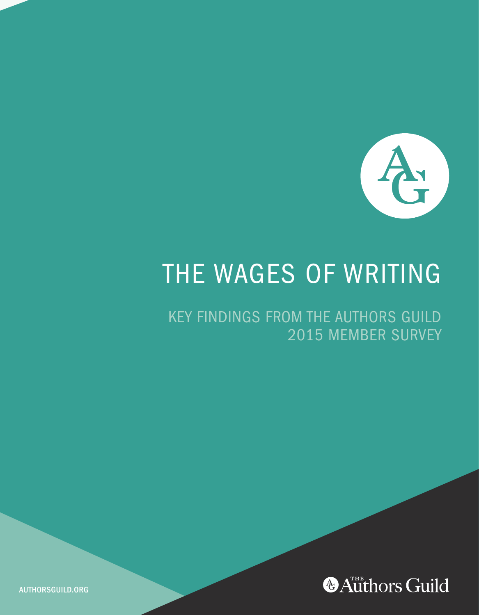

# THE WAGES OF WRITING

KEY FINDINGS FROM THE AUTHORS GUILD 2015 MEMBER SURVEY



AUTHORSGUILD.ORG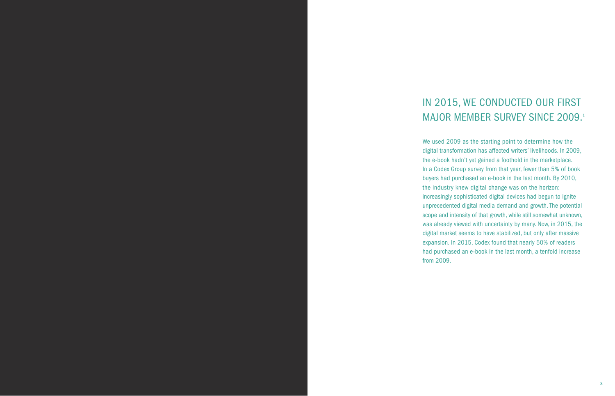# IN 2015, WE CONDUCTED OUR FIRST MAJOR MEMBER SURVEY SINCE 2009.<sup>1</sup>

We used 2009 as the starting point to determine how the digital transformation has affected writers' livelihoods. In 2009, the e-book hadn't yet gained a foothold in the marketplace. In a Codex Group survey from that year, fewer than 5% of book buyers had purchased an e-book in the last month. By 2010, the industry knew digital change was on the horizon: increasingly sophisticated digital devices had begun to ignite unprecedented digital media demand and growth. The potential scope and intensity of that growth, while still somewhat unknown, was already viewed with uncertainty by many. Now, in 2015, the digital market seems to have stabilized, but only after massive expansion. In 2015, Codex found that nearly 50% of readers had purchased an e-book in the last month, a tenfold increase from 2009.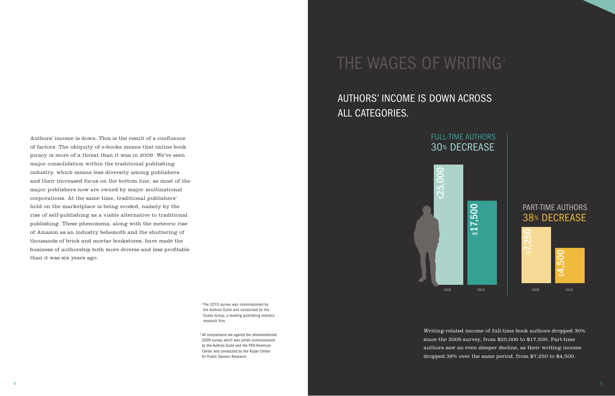Authors' income is down. This is the result of a confluence of factors. The ubiquity of e-books means that online book piracy is more of a threat than it was in 2009. We've seen major consolidation within the traditional publishing industry, which means less diversity among publishers and their increased focus on the bottom line, as most of the major publishers now are owned by major multinational corporations. At the same time, traditional publishers' hold on the marketplace is being eroded, namely by the rise of self-publishing as a viable alternative to traditional publishing. These phenomena, along with the meteoric rise of Amazon as an industry behemoth and the shuttering of thousands of brick and mortar bookstores, have made the business of authorship both more diverse and less profitable than it was six years ago.

> <sup>1</sup> The 2015 survey was commissioned by the Authors Guild and conducted by the Codex Group, a leading publishing industry research firm.

<sup>2</sup> All comparisons are against the aforementioned 2009 survey, which was jointly commissioned by the Authors Guild and the PEN American Center and conducted by the Roper Center for Public Opinion Research.

# THE WAGES OF WRITING<sup>2</sup>

## AUTHORS' INCOME IS DOWN ACROSS ALL CATEGORIES.



PART-TIME AUTHORS 38% DECREASE



Writing-related income of full-time book authors dropped 30% since the 2009 survey, from \$25,000 to \$17,500. Part-time authors saw an even steeper decline, as their writing income dropped 38% over the same period, from \$7,250 to \$4,500.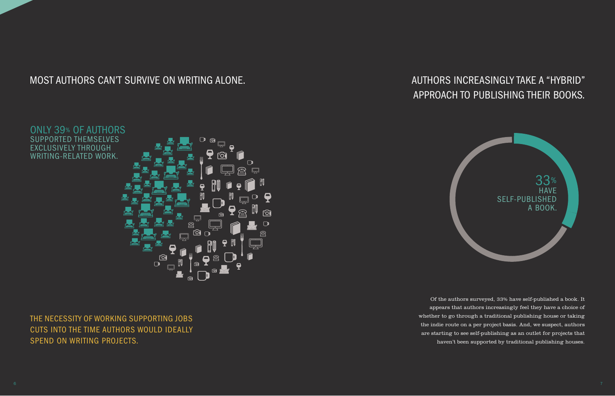### MOST AUTHORS CAN'T SURVIVE ON WRITING ALONE.

AUTHORS INCREASINGLY TAKE A "HYBRID" APPROACH TO PUBLISHING THEIR BOOKS.



Of the authors surveyed, 33% have self-published a book. It appears that authors increasingly feel they have a choice of whether to go through a traditional publishing house or taking the indie route on a per project basis. And, we suspect, authors are starting to see self-publishing as an outlet for projects that haven't been supported by traditional publishing houses.



THE NECESSITY OF WORKING SUPPORTING JOBS CUTS INTO THE TIME AUTHORS WOULD IDEALLY SPEND ON WRITING PROJECTS.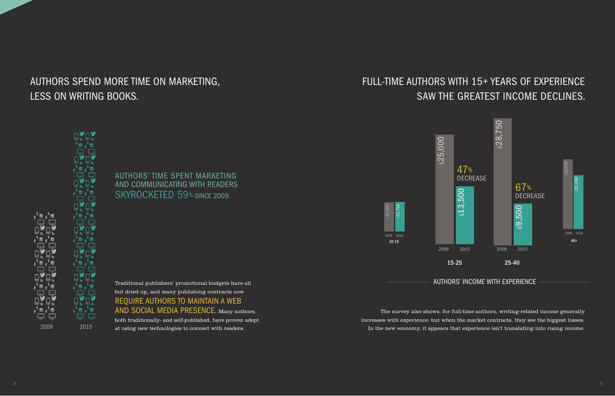# AUTHORS SPEND MORE TIME ON MARKETING, LESS ON WRITING BOOKS.

### FULL-TIME AUTHORS WITH 15+ YEARS OF EXPERIENCE SAW THE GREATEST INCOME DECLINES.



The survey also shows, for full-time authors, writing-related income generally increases with experience: but when the market contracts, they see the biggest losses. In the new economy, it appears that experience isn't translating into rising income.



 $\mathfrak{g}^{\mathfrak{t}}$  or  $\mathfrak{g}^{\mathfrak{t}}$  or

┍╄╌╄┖┙┍╶╶╶╶╶╶╶╶╶╶╶╶╶╶╶╶╶╶╶╶╶<br>┇╞┪┪╡╒╝╟┪╡╛╛┫╢╛╡┥┥╏╕

<sub>f</sub><sup>t </sup>ី f ື  $\Xi$ .  $\Xi$   $\begin{picture}(120,15) \put(0,0){\line(1,0){15}} \put(15,0){\line(1,0){15}} \put(15,0){\line(1,0){15}} \put(15,0){\line(1,0){15}} \put(15,0){\line(1,0){15}} \put(15,0){\line(1,0){15}} \put(15,0){\line(1,0){15}} \put(15,0){\line(1,0){15}} \put(15,0){\line(1,0){15}} \put(15,0){\line(1,0){15}} \put(15,0){\line(1,0){15}} \put(15,0){\line($ 

AUTHORS' TIME SPENT MARKETING AND COMMUNICATING WITH READERS SKYROCKETED 59% SINCE 2009.

but dried up, and many publishing contracts now REQUIRE AUTHORS TO MAINTAIN A WEB AND SOCIAL MEDIA PRESENCE. Many authors, both traditionally- and self-published, have proven adept

at using new technologies to connect with readers.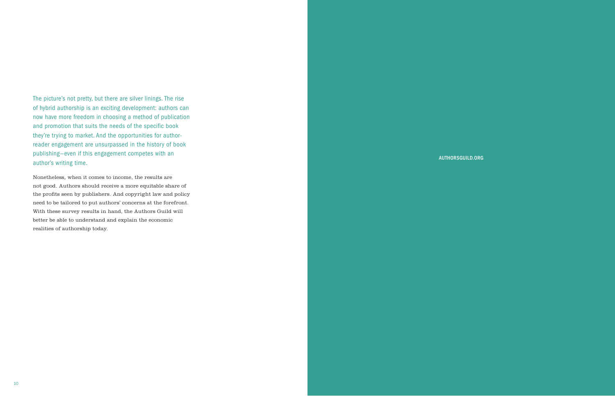The picture's not pretty, but there are silver linings. The rise of hybrid authorship is an exciting development: authors can now have more freedom in choosing a method of publication and promotion that suits the needs of the specific book they're trying to market. And the opportunities for authorreader engagement are unsurpassed in the history of book publishing—even if this engagement competes with an author's writing time.

Nonetheless, when it comes to income, the results are not good. Authors should receive a more equitable share of the profits seen by publishers. And copyright law and policy need to be tailored to put authors' concerns at the forefront. With these survey results in hand, the Authors Guild will better be able to understand and explain the economic realities of authorship today.

#### AUTHORSGUILD.ORG